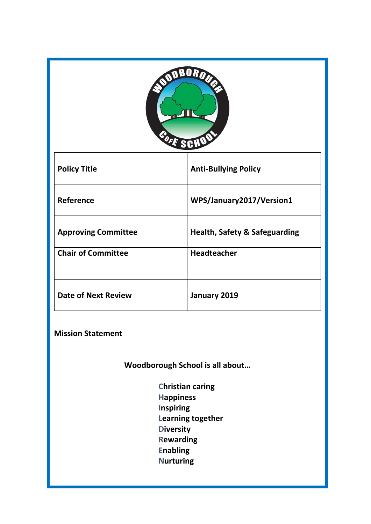| UR                         |                                          |  |
|----------------------------|------------------------------------------|--|
| <b>Policy Title</b>        | <b>Anti-Bullying Policy</b>              |  |
| Reference                  | WPS/January2017/Version1                 |  |
| <b>Approving Committee</b> | <b>Health, Safety &amp; Safeguarding</b> |  |
| <b>Chair of Committee</b>  | <b>Headteacher</b>                       |  |
| <b>Date of Next Review</b> | January 2019                             |  |

**Mission Statement**

**Woodborough School is all about…**

 **Christian caring Happiness Inspiring Learning together Diversity Rewarding Enabling Nurturing**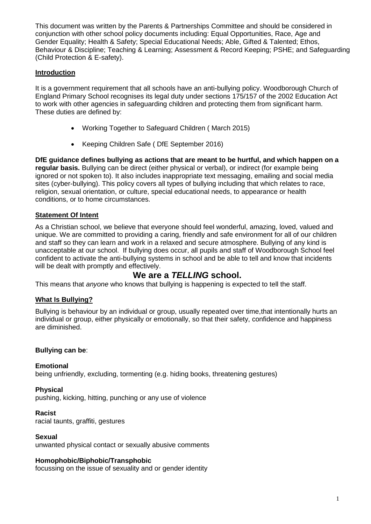This document was written by the Parents & Partnerships Committee and should be considered in conjunction with other school policy documents including: Equal Opportunities, Race, Age and Gender Equality; Health & Safety; Special Educational Needs; Able, Gifted & Talented; Ethos, Behaviour & Discipline; Teaching & Learning; Assessment & Record Keeping; PSHE; and Safeguarding (Child Protection & E-safety).

#### **Introduction**

It is a government requirement that all schools have an anti-bullying policy. Woodborough Church of England Primary School recognises its legal duty under sections 175/157 of the 2002 Education Act to work with other agencies in safeguarding children and protecting them from significant harm. These duties are defined by:

- Working Together to Safeguard Children ( March 2015)
- Keeping Children Safe (DfE September 2016)

**DfE guidance defines bullying as actions that are meant to be hurtful, and which happen on a regular basis.** Bullying can be direct (either physical or verbal), or indirect (for example being ignored or not spoken to). It also includes inappropriate text messaging, emailing and social media sites (cyber-bullying). This policy covers all types of bullying including that which relates to race, religion, sexual orientation, or culture, special educational needs, to appearance or health conditions, or to home circumstances.

#### **Statement Of Intent**

As a Christian school, we believe that everyone should feel wonderful, amazing, loved, valued and unique. We are committed to providing a caring, friendly and safe environment for all of our children and staff so they can learn and work in a relaxed and secure atmosphere. Bullying of any kind is unacceptable at our school. If bullying does occur, all pupils and staff of Woodborough School feel confident to activate the anti-bullying systems in school and be able to tell and know that incidents will be dealt with promptly and effectively.

## **We are a** *TELLING* **school.**

This means that *anyone* who knows that bullying is happening is expected to tell the staff.

#### **What Is Bullying?**

Bullying is behaviour by an individual or group, usually repeated over time,that intentionally hurts an individual or group, either physically or emotionally, so that their safety, confidence and happiness are diminished.

#### **Bullying can be**:

#### **Emotional**

being unfriendly, excluding, tormenting (e.g. hiding books, threatening gestures)

#### **Physical**

pushing, kicking, hitting, punching or any use of violence

#### **Racist**

racial taunts, graffiti, gestures

#### **Sexual**

unwanted physical contact or sexually abusive comments

#### **Homophobic/Biphobic/Transphobic**

focussing on the issue of sexuality and or gender identity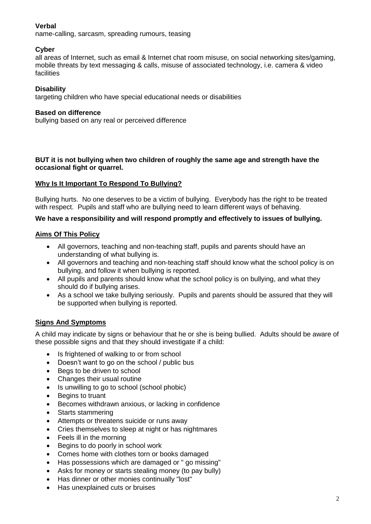#### **Verbal**

name-calling, sarcasm, spreading rumours, teasing

#### **Cyber**

all areas of Internet, such as email & Internet chat room misuse, on social networking sites/gaming, mobile threats by text messaging & calls, misuse of associated technology, i.e. camera & video **facilities** 

#### **Disability**

targeting children who have special educational needs or disabilities

#### **Based on difference**

bullying based on any real or perceived difference

#### **BUT it is not bullying when two children of roughly the same age and strength have the occasional fight or quarrel.**

#### **Why Is It Important To Respond To Bullying?**

Bullying hurts. No one deserves to be a victim of bullying. Everybody has the right to be treated with respect. Pupils and staff who are bullying need to learn different ways of behaving.

#### **We have a responsibility and will respond promptly and effectively to issues of bullying.**

#### **Aims Of This Policy**

- All governors, teaching and non-teaching staff, pupils and parents should have an understanding of what bullying is.
- All governors and teaching and non-teaching staff should know what the school policy is on bullying, and follow it when bullying is reported.
- All pupils and parents should know what the school policy is on bullying, and what they should do if bullying arises.
- As a school we take bullying seriously. Pupils and parents should be assured that they will be supported when bullying is reported.

#### **Signs And Symptoms**

A child may indicate by signs or behaviour that he or she is being bullied. Adults should be aware of these possible signs and that they should investigate if a child:

- Is frightened of walking to or from school
- Doesn't want to go on the school / public bus
- Begs to be driven to school
- Changes their usual routine
- Is unwilling to go to school (school phobic)
- Begins to truant
- Becomes withdrawn anxious, or lacking in confidence
- Starts stammering
- Attempts or threatens suicide or runs away
- Cries themselves to sleep at night or has nightmares
- Feels ill in the morning
- Begins to do poorly in school work
- Comes home with clothes torn or books damaged
- Has possessions which are damaged or " go missing"
- Asks for money or starts stealing money (to pay bully)
- Has dinner or other monies continually "lost"
- Has unexplained cuts or bruises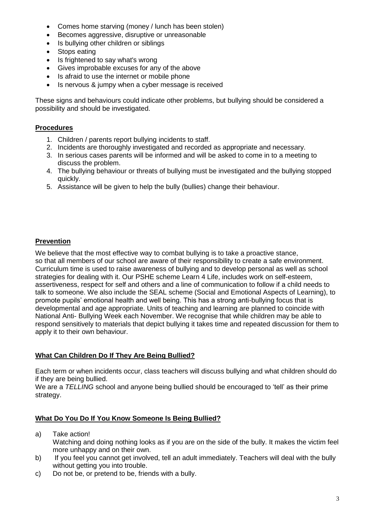- Comes home starving (money / lunch has been stolen)
- Becomes aggressive, disruptive or unreasonable
- Is bullying other children or siblings
- Stops eating
- Is frightened to say what's wrong
- Gives improbable excuses for any of the above
- Is afraid to use the internet or mobile phone
- Is nervous & jumpy when a cyber message is received

These signs and behaviours could indicate other problems, but bullying should be considered a possibility and should be investigated.

#### **Procedures**

- 1. Children / parents report bullying incidents to staff.
- 2. Incidents are thoroughly investigated and recorded as appropriate and necessary.
- 3. In serious cases parents will be informed and will be asked to come in to a meeting to discuss the problem.
- 4. The bullying behaviour or threats of bullying must be investigated and the bullying stopped quickly.
- 5. Assistance will be given to help the bully (bullies) change their behaviour.

#### **Prevention**

We believe that the most effective way to combat bullying is to take a proactive stance, so that all members of our school are aware of their responsibility to create a safe environment. Curriculum time is used to raise awareness of bullying and to develop personal as well as school strategies for dealing with it. Our PSHE scheme Learn 4 Life, includes work on self-esteem, assertiveness, respect for self and others and a line of communication to follow if a child needs to talk to someone. We also include the SEAL scheme (Social and Emotional Aspects of Learning), to promote pupils' emotional health and well being. This has a strong anti-bullying focus that is developmental and age appropriate. Units of teaching and learning are planned to coincide with National Anti- Bullying Week each November. We recognise that while children may be able to respond sensitively to materials that depict bullying it takes time and repeated discussion for them to apply it to their own behaviour.

#### **What Can Children Do If They Are Being Bullied?**

Each term or when incidents occur, class teachers will discuss bullying and what children should do if they are being bullied.

We are a *TELLING* school and anyone being bullied should be encouraged to 'tell' as their prime strategy.

#### **What Do You Do If You Know Someone Is Being Bullied?**

- a) Take action!
	- Watching and doing nothing looks as if you are on the side of the bully. It makes the victim feel more unhappy and on their own.
- b) If you feel you cannot get involved, tell an adult immediately. Teachers will deal with the bully without getting you into trouble.
- c) Do not be, or pretend to be, friends with a bully.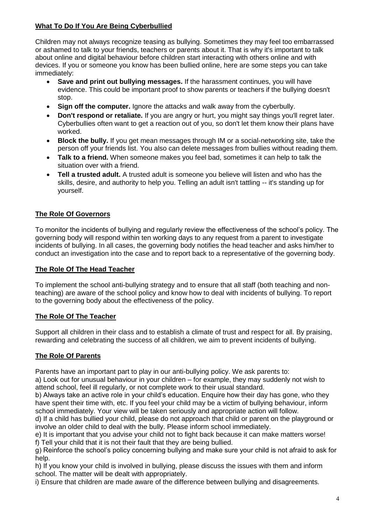## **What To Do If You Are Being Cyberbullied**

Children may not always recognize teasing as bullying. Sometimes they may feel too embarrassed or ashamed to talk to your friends, teachers or parents about it. That is why it's important to talk about online and digital behaviour before children start interacting with others online and with devices. If you or someone you know has been bullied online, here are some steps you can take immediately:

- **Save and print out bullying messages.** If the harassment continues, you will have evidence. This could be important proof to show parents or teachers if the bullying doesn't stop.
- **Sign off the computer.** Ignore the attacks and walk away from the cyberbully.
- Don't respond or retaliate. If you are angry or hurt, you might say things you'll regret later. Cyberbullies often want to get a reaction out of you, so don't let them know their plans have worked.
- **Block the bully.** If you get mean messages through IM or a social-networking site, take the person off your friends list. You also can delete messages from bullies without reading them.
- **Talk to a friend.** When someone makes you feel bad, sometimes it can help to talk the situation over with a friend.
- **Tell a trusted adult.** A trusted adult is someone you believe will listen and who has the skills, desire, and authority to help you. Telling an adult isn't tattling -- it's standing up for yourself.

## **The Role Of Governors**

To monitor the incidents of bullying and regularly review the effectiveness of the school's policy. The governing body will respond within ten working days to any request from a parent to investigate incidents of bullying. In all cases, the governing body notifies the head teacher and asks him/her to conduct an investigation into the case and to report back to a representative of the governing body.

## **The Role Of The Head Teacher**

To implement the school anti-bullying strategy and to ensure that all staff (both teaching and nonteaching) are aware of the school policy and know how to deal with incidents of bullying. To report to the governing body about the effectiveness of the policy.

#### **The Role Of The Teacher**

Support all children in their class and to establish a climate of trust and respect for all. By praising, rewarding and celebrating the success of all children, we aim to prevent incidents of bullying.

## **The Role Of Parents**

Parents have an important part to play in our anti-bullying policy. We ask parents to:

a) Look out for unusual behaviour in your children – for example, they may suddenly not wish to attend school, feel ill regularly, or not complete work to their usual standard.

b) Always take an active role in your child's education. Enquire how their day has gone, who they have spent their time with, etc. If you feel your child may be a victim of bullying behaviour, inform school immediately. Your view will be taken seriously and appropriate action will follow.

d) If a child has bullied your child, please do not approach that child or parent on the playground or involve an older child to deal with the bully. Please inform school immediately.

e) It is important that you advise your child not to fight back because it can make matters worse! f) Tell your child that it is not their fault that they are being bullied.

g) Reinforce the school's policy concerning bullying and make sure your child is not afraid to ask for help.

h) If you know your child is involved in bullying, please discuss the issues with them and inform school. The matter will be dealt with appropriately.

i) Ensure that children are made aware of the difference between bullying and disagreements.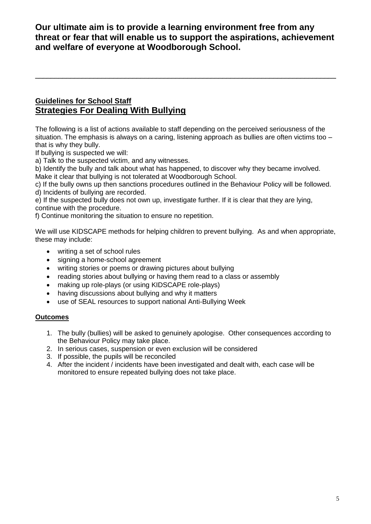**Our ultimate aim is to provide a learning environment free from any threat or fear that will enable us to support the aspirations, achievement and welfare of everyone at Woodborough School.**

\_\_\_\_\_\_\_\_\_\_\_\_\_\_\_\_\_\_\_\_\_\_\_\_\_\_\_\_\_\_\_\_\_\_\_\_\_\_\_\_\_\_\_\_\_\_\_\_\_\_\_\_\_\_\_\_\_\_\_\_\_\_\_\_\_\_\_\_\_\_\_\_\_\_\_\_\_

## **Guidelines for School Staff Strategies For Dealing With Bullying**

The following is a list of actions available to staff depending on the perceived seriousness of the situation. The emphasis is always on a caring, listening approach as bullies are often victims too that is why they bully.

If bullying is suspected we will:

a) Talk to the suspected victim, and any witnesses.

b) Identify the bully and talk about what has happened, to discover why they became involved. Make it clear that bullying is not tolerated at Woodborough School.

c) If the bully owns up then sanctions procedures outlined in the Behaviour Policy will be followed. d) Incidents of bullying are recorded.

e) If the suspected bully does not own up, investigate further. If it is clear that they are lying, continue with the procedure.

f) Continue monitoring the situation to ensure no repetition.

We will use KIDSCAPE methods for helping children to prevent bullying. As and when appropriate, these may include:

- writing a set of school rules
- signing a home-school agreement
- writing stories or poems or drawing pictures about bullying
- reading stories about bullying or having them read to a class or assembly
- making up role-plays (or using KIDSCAPE role-plays)
- having discussions about bullying and why it matters
- use of SEAL resources to support national Anti-Bullying Week

#### **Outcomes**

- 1. The bully (bullies) will be asked to genuinely apologise. Other consequences according to the Behaviour Policy may take place.
- 2. In serious cases, suspension or even exclusion will be considered
- 3. If possible, the pupils will be reconciled
- 4. After the incident / incidents have been investigated and dealt with, each case will be monitored to ensure repeated bullying does not take place.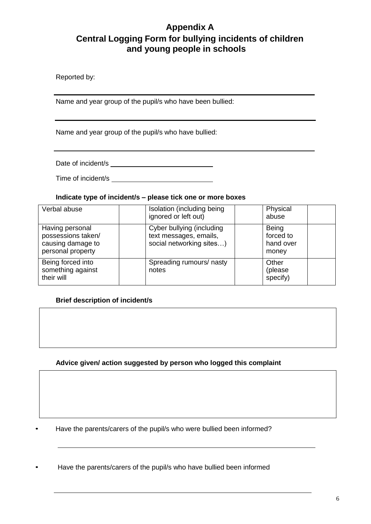## **Appendix A Central Logging Form for bullying incidents of children and young people in schools**

Reported by:

Name and year group of the pupil/s who have been bullied:

Name and year group of the pupil/s who have bullied:

Date of incident/s

Time of incident/s

#### **Indicate type of incident/s – please tick one or more boxes**

| Verbal abuse                                                                    | Isolation (including being<br>ignored or left out)                              | Physical<br>abuse                        |
|---------------------------------------------------------------------------------|---------------------------------------------------------------------------------|------------------------------------------|
| Having personal<br>possessions taken/<br>causing damage to<br>personal property | Cyber bullying (including<br>text messages, emails,<br>social networking sites) | Being<br>forced to<br>hand over<br>money |
| Being forced into<br>something against<br>their will                            | Spreading rumours/ nasty<br>notes                                               | Other<br>(please<br>specify)             |

#### **Brief description of incident/s**

#### **Advice given/ action suggested by person who logged this complaint**

• Have the parents/carers of the pupil/s who were bullied been informed?

• Have the parents/carers of the pupil/s who have bullied been informed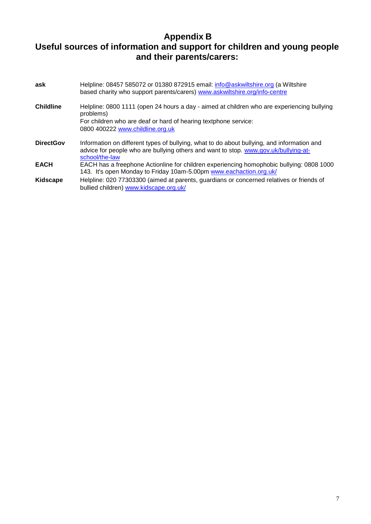## **Appendix B Useful sources of information and support for children and young people and their parents/carers:**

| ask              | Helpline: 08457 585072 or 01380 872915 email: info@askwiltshire.org (a Wiltshire<br>based charity who support parents/carers) www.askwiltshire.org/info-centre                                      |
|------------------|-----------------------------------------------------------------------------------------------------------------------------------------------------------------------------------------------------|
| <b>Childline</b> | Helpline: 0800 1111 (open 24 hours a day - aimed at children who are experiencing bullying<br>problems)                                                                                             |
|                  | For children who are deaf or hard of hearing textphone service:<br>0800 400222 www.childline.org.uk                                                                                                 |
| <b>DirectGov</b> | Information on different types of bullying, what to do about bullying, and information and<br>advice for people who are bullying others and want to stop. www.gov.uk/bullying-at-<br>school/the-law |
| <b>EACH</b>      | EACH has a freephone Actionline for children experiencing homophobic bullying: 0808 1000<br>143. It's open Monday to Friday 10am-5.00pm www.eachaction.org.uk/                                      |
| Kidscape         | Helpline: 020 77303300 (aimed at parents, guardians or concerned relatives or friends of<br>bullied children) www.kidscape.org.uk/                                                                  |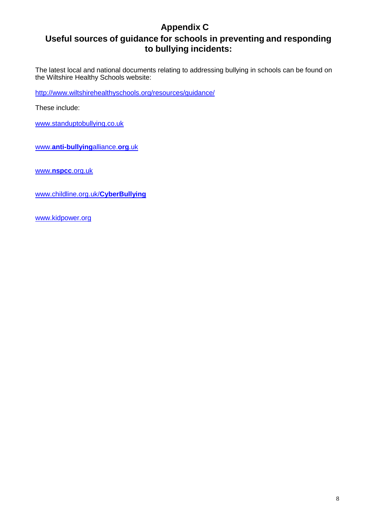# **Appendix C**

## **Useful sources of guidance for schools in preventing and responding to bullying incidents:**

The latest local and national documents relating to addressing bullying in schools can be found on the Wiltshire Healthy Schools website:

<http://www.wiltshirehealthyschools.org/resources/guidance/>

These include:

[www.standuptobullying.co.uk](http://www.standuptobullying.co.uk/)

www.**[anti-bullying](http://www.anti-bullyingalliance.org.uk/)**alliance.**org**.uk

www.**nspcc**[.org.uk](http://www.nspcc.org.uk/)

[www.childline.org.uk/](http://www.childline.org.uk/CyberBullying)**CyberBullying**

[www.kidpower.org](http://www.kidpower.org/)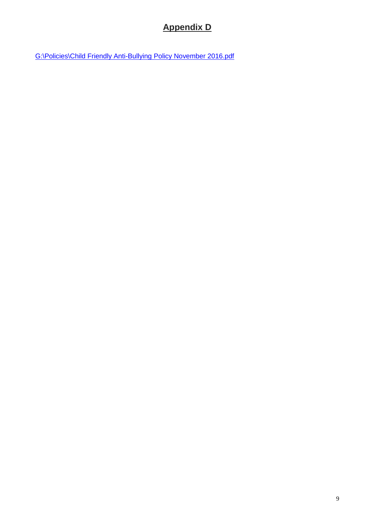# **Appendix D**

[G:\Policies\Child Friendly Anti-Bullying Policy November 2016.pdf](file://wpsadminsrv/Winpool/Policies/Child%20Friendly%20Anti-Bullying%20Policy%20November%202016.pdf)